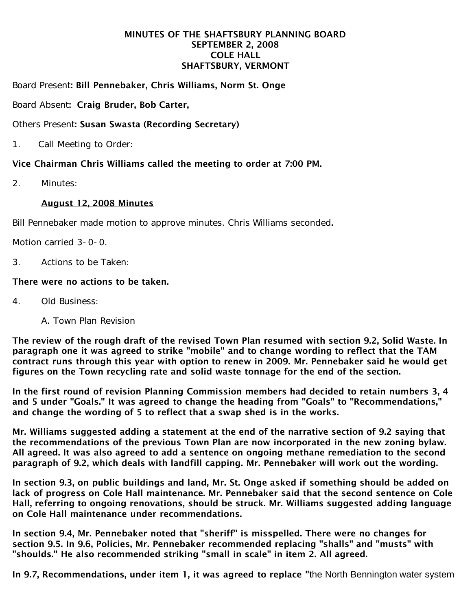### MINUTES OF THE SHAFTSBURY PLANNING BOARD SEPTEMBER 2, 2008 COLE HALL SHAFTSBURY, VERMONT

Board Present: Bill Pennebaker, Chris Williams, Norm St. Onge

Board Absent: Craig Bruder, Bob Carter,

# Others Present: Susan Swasta (Recording Secretary)

1. Call Meeting to Order:

# Vice Chairman Chris Williams called the meeting to order at 7:00 PM.

2. Minutes:

## August 12, 2008 Minutes

Bill Pennebaker made motion to approve minutes. Chris Williams seconded.

Motion carried 3-0-0.

3. Actions to be Taken:

## There were no actions to be taken.

- 4. Old Business:
	- A. Town Plan Revision

The review of the rough draft of the revised Town Plan resumed with section 9.2, Solid Waste. In paragraph one it was agreed to strike "mobile" and to change wording to reflect that the TAM contract runs through this year with option to renew in 2009. Mr. Pennebaker said he would get figures on the Town recycling rate and solid waste tonnage for the end of the section.

In the first round of revision Planning Commission members had decided to retain numbers 3, 4 and 5 under "Goals." It was agreed to change the heading from "Goals" to "Recommendations," and change the wording of 5 to reflect that a swap shed is in the works.

Mr. Williams suggested adding a statement at the end of the narrative section of 9.2 saying that the recommendations of the previous Town Plan are now incorporated in the new zoning bylaw. All agreed. It was also agreed to add a sentence on ongoing methane remediation to the second paragraph of 9.2, which deals with landfill capping. Mr. Pennebaker will work out the wording.

In section 9.3, on public buildings and land, Mr. St. Onge asked if something should be added on lack of progress on Cole Hall maintenance. Mr. Pennebaker said that the second sentence on Cole Hall, referring to ongoing renovations, should be struck. Mr. Williams suggested adding language on Cole Hall maintenance under recommendations.

In section 9.4, Mr. Pennebaker noted that "sheriff" is misspelled. There were no changes for section 9.5. In 9.6, Policies, Mr. Pennebaker recommended replacing "shalls" and "musts" with "shoulds." He also recommended striking "small in scale" in item 2. All agreed.

In 9.7, Recommendations, under item 1, it was agreed to replace "the North Bennington water system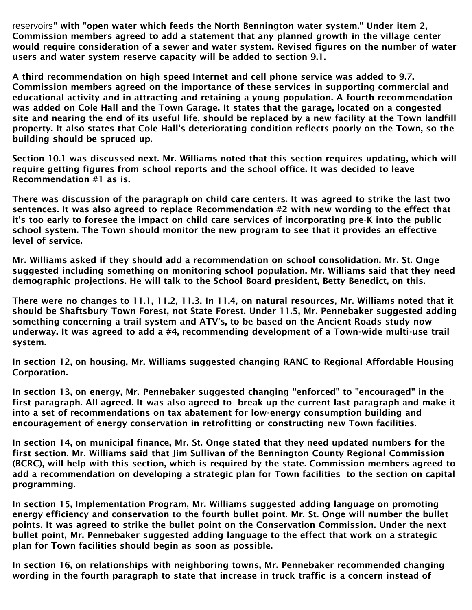reservoirs" with "open water which feeds the North Bennington water system." Under item 2, Commission members agreed to add a statement that any planned growth in the village center would require consideration of a sewer and water system. Revised figures on the number of water users and water system reserve capacity will be added to section 9.1.

A third recommendation on high speed Internet and cell phone service was added to 9.7. Commission members agreed on the importance of these services in supporting commercial and educational activity and in attracting and retaining a young population. A fourth recommendation was added on Cole Hall and the Town Garage. It states that the garage, located on a congested site and nearing the end of its useful life, should be replaced by a new facility at the Town landfill property. It also states that Cole Hall's deteriorating condition reflects poorly on the Town, so the building should be spruced up.

Section 10.1 was discussed next. Mr. Williams noted that this section requires updating, which will require getting figures from school reports and the school office. It was decided to leave Recommendation #1 as is.

There was discussion of the paragraph on child care centers. It was agreed to strike the last two sentences. It was also agreed to replace Recommendation #2 with new wording to the effect that it's too early to foresee the impact on child care services of incorporating pre-K into the public school system. The Town should monitor the new program to see that it provides an effective level of service.

Mr. Williams asked if they should add a recommendation on school consolidation. Mr. St. Onge suggested including something on monitoring school population. Mr. Williams said that they need demographic projections. He will talk to the School Board president, Betty Benedict, on this.

There were no changes to 11.1, 11.2, 11.3. In 11.4, on natural resources, Mr. Williams noted that it should be Shaftsbury Town Forest, not State Forest. Under 11.5, Mr. Pennebaker suggested adding something concerning a trail system and ATV's, to be based on the Ancient Roads study now underway. It was agreed to add a #4, recommending development of a Town-wide multi-use trail system.

In section 12, on housing, Mr. Williams suggested changing RANC to Regional Affordable Housing Corporation.

In section 13, on energy, Mr. Pennebaker suggested changing "enforced" to "encouraged" in the first paragraph. All agreed. It was also agreed to break up the current last paragraph and make it into a set of recommendations on tax abatement for low-energy consumption building and encouragement of energy conservation in retrofitting or constructing new Town facilities.

In section 14, on municipal finance, Mr. St. Onge stated that they need updated numbers for the first section. Mr. Williams said that Jim Sullivan of the Bennington County Regional Commission (BCRC), will help with this section, which is required by the state. Commission members agreed to add a recommendation on developing a strategic plan for Town facilities to the section on capital programming.

In section 15, Implementation Program, Mr. Williams suggested adding language on promoting energy efficiency and conservation to the fourth bullet point. Mr. St. Onge will number the bullet points. It was agreed to strike the bullet point on the Conservation Commission. Under the next bullet point, Mr. Pennebaker suggested adding language to the effect that work on a strategic plan for Town facilities should begin as soon as possible.

In section 16, on relationships with neighboring towns, Mr. Pennebaker recommended changing wording in the fourth paragraph to state that increase in truck traffic is a concern instead of